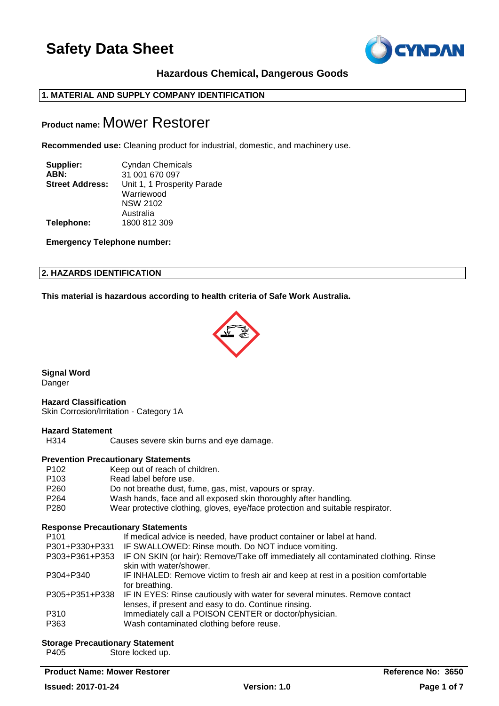

# **Hazardous Chemical, Dangerous Goods**

# **1. MATERIAL AND SUPPLY COMPANY IDENTIFICATION**

# **Product name:** Mower Restorer

**Recommended use:** Cleaning product for industrial, domestic, and machinery use.

| Supplier:<br>ABN:      | <b>Cyndan Chemicals</b>     |
|------------------------|-----------------------------|
|                        | 31 001 670 097              |
| <b>Street Address:</b> | Unit 1, 1 Prosperity Parade |
|                        | Warriewood                  |
|                        | <b>NSW 2102</b>             |
|                        | Australia                   |
| Telephone:             | 1800 812 309                |

**Emergency Telephone number:**

# **2. HAZARDS IDENTIFICATION**

**This material is hazardous according to health criteria of Safe Work Australia.**



**Signal Word Danger** 

### **Hazard Classification**

Skin Corrosion/Irritation - Category 1A

### **Hazard Statement**

```
H314 Causes severe skin burns and eye damage.
```
### **Prevention Precautionary Statements**

P102 Keep out of reach of children. P103 Read label before use. P260 Do not breathe dust, fume, gas, mist, vapours or spray. P264 Wash hands, face and all exposed skin thoroughly after handling. P280 Wear protective clothing, gloves, eye/face protection and suitable respirator.

### **Response Precautionary Statements**

| P <sub>101</sub> | If medical advice is needed, have product container or label at hand.                                                                              |
|------------------|----------------------------------------------------------------------------------------------------------------------------------------------------|
| P301+P330+P331   | IF SWALLOWED: Rinse mouth. Do NOT induce vomiting.                                                                                                 |
| P303+P361+P353   | IF ON SKIN (or hair): Remove/Take off immediately all contaminated clothing. Rinse<br>skin with water/shower.                                      |
| P304+P340        | IF INHALED: Remove victim to fresh air and keep at rest in a position comfortable<br>for breathing.                                                |
|                  | P305+P351+P338 IF IN EYES: Rinse cautiously with water for several minutes. Remove contact<br>lenses, if present and easy to do. Continue rinsing. |
| P310             | Immediately call a POISON CENTER or doctor/physician.                                                                                              |
| P363             | Wash contaminated clothing before reuse.                                                                                                           |

### **Storage Precautionary Statement**

P405 Store locked up.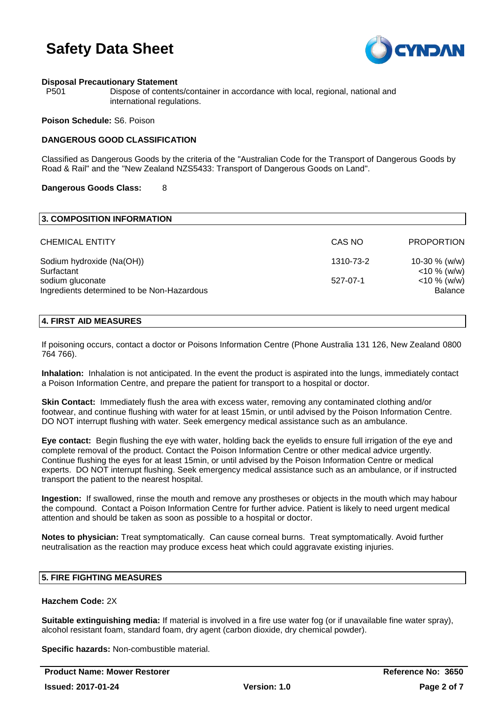

# **Disposal Precautionary Statement**

P501 Dispose of contents/container in accordance with local, regional, national and international regulations.

### **Poison Schedule:** S6. Poison

# **DANGEROUS GOOD CLASSIFICATION**

Classified as Dangerous Goods by the criteria of the "Australian Code for the Transport of Dangerous Goods by Road & Rail" and the "New Zealand NZS5433: Transport of Dangerous Goods on Land".

### **Dangerous Goods Class:** 8

| 3. COMPOSITION INFORMATION                                     |           |                                   |
|----------------------------------------------------------------|-----------|-----------------------------------|
| <b>CHEMICAL ENTITY</b>                                         | CAS NO    | <b>PROPORTION</b>                 |
| Sodium hydroxide (Na(OH))<br>Surfactant                        | 1310-73-2 | 10-30 $% (w/w)$<br>$<$ 10 % (w/w) |
| sodium gluconate<br>Ingredients determined to be Non-Hazardous | 527-07-1  | $<$ 10 % (w/w)<br>Balance         |

## **4. FIRST AID MEASURES**

If poisoning occurs, contact a doctor or Poisons Information Centre (Phone Australia 131 126, New Zealand 0800 764 766).

**Inhalation:** Inhalation is not anticipated. In the event the product is aspirated into the lungs, immediately contact a Poison Information Centre, and prepare the patient for transport to a hospital or doctor.

**Skin Contact:** Immediately flush the area with excess water, removing any contaminated clothing and/or footwear, and continue flushing with water for at least 15min, or until advised by the Poison Information Centre. DO NOT interrupt flushing with water. Seek emergency medical assistance such as an ambulance.

**Eye contact:** Begin flushing the eye with water, holding back the eyelids to ensure full irrigation of the eye and complete removal of the product. Contact the Poison Information Centre or other medical advice urgently. Continue flushing the eyes for at least 15min, or until advised by the Poison Information Centre or medical experts. DO NOT interrupt flushing. Seek emergency medical assistance such as an ambulance, or if instructed transport the patient to the nearest hospital.

**Ingestion:** If swallowed, rinse the mouth and remove any prostheses or objects in the mouth which may habour the compound. Contact a Poison Information Centre for further advice. Patient is likely to need urgent medical attention and should be taken as soon as possible to a hospital or doctor.

**Notes to physician:** Treat symptomatically. Can cause corneal burns. Treat symptomatically. Avoid further neutralisation as the reaction may produce excess heat which could aggravate existing injuries.

# **5. FIRE FIGHTING MEASURES**

# **Hazchem Code:** 2X

**Suitable extinguishing media:** If material is involved in a fire use water fog (or if unavailable fine water spray), alcohol resistant foam, standard foam, dry agent (carbon dioxide, dry chemical powder).

**Specific hazards:** Non-combustible material.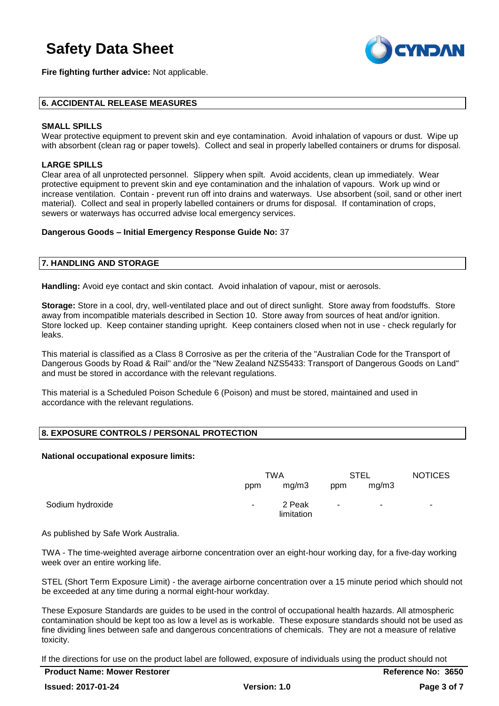**Fire fighting further advice:** Not applicable.



# **6. ACCIDENTAL RELEASE MEASURES**

# **SMALL SPILLS**

Wear protective equipment to prevent skin and eye contamination. Avoid inhalation of vapours or dust. Wipe up with absorbent (clean rag or paper towels). Collect and seal in properly labelled containers or drums for disposal.

# **LARGE SPILLS**

Clear area of all unprotected personnel. Slippery when spilt. Avoid accidents, clean up immediately. Wear protective equipment to prevent skin and eye contamination and the inhalation of vapours. Work up wind or increase ventilation. Contain - prevent run off into drains and waterways. Use absorbent (soil, sand or other inert material). Collect and seal in properly labelled containers or drums for disposal. If contamination of crops, sewers or waterways has occurred advise local emergency services.

### **Dangerous Goods – Initial Emergency Response Guide No:** 37

### **7. HANDLING AND STORAGE**

**Handling:** Avoid eye contact and skin contact. Avoid inhalation of vapour, mist or aerosols.

**Storage:** Store in a cool, dry, well-ventilated place and out of direct sunlight. Store away from foodstuffs. Store away from incompatible materials described in Section 10. Store away from sources of heat and/or ignition. Store locked up. Keep container standing upright. Keep containers closed when not in use - check regularly for leaks.

This material is classified as a Class 8 Corrosive as per the criteria of the "Australian Code for the Transport of Dangerous Goods by Road & Rail" and/or the "New Zealand NZS5433: Transport of Dangerous Goods on Land" and must be stored in accordance with the relevant regulations.

This material is a Scheduled Poison Schedule 6 (Poison) and must be stored, maintained and used in accordance with the relevant regulations.

# **8. EXPOSURE CONTROLS / PERSONAL PROTECTION**

### **National occupational exposure limits:**

|                  | TWA    |                      | <b>STEL</b> |       | <b>NOTICES</b>           |
|------------------|--------|----------------------|-------------|-------|--------------------------|
|                  | ppm    | mg/m3                | ppm         | mg/m3 |                          |
| Sodium hydroxide | $\sim$ | 2 Peak<br>limitation | ۰           | ۰.    | $\overline{\phantom{a}}$ |

As published by Safe Work Australia.

TWA - The time-weighted average airborne concentration over an eight-hour working day, for a five-day working week over an entire working life.

STEL (Short Term Exposure Limit) - the average airborne concentration over a 15 minute period which should not be exceeded at any time during a normal eight-hour workday.

These Exposure Standards are guides to be used in the control of occupational health hazards. All atmospheric contamination should be kept too as low a level as is workable. These exposure standards should not be used as fine dividing lines between safe and dangerous concentrations of chemicals. They are not a measure of relative toxicity.

If the directions for use on the product label are followed, exposure of individuals using the product should not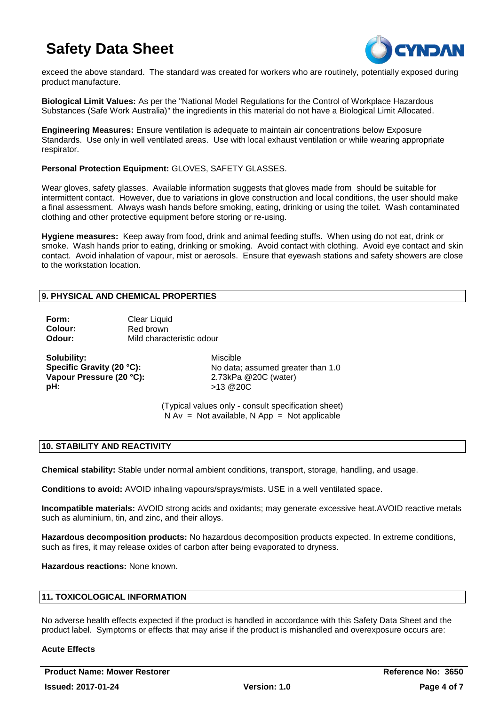

exceed the above standard. The standard was created for workers who are routinely, potentially exposed during product manufacture.

**Biological Limit Values:** As per the "National Model Regulations for the Control of Workplace Hazardous Substances (Safe Work Australia)" the ingredients in this material do not have a Biological Limit Allocated.

**Engineering Measures:** Ensure ventilation is adequate to maintain air concentrations below Exposure Standards. Use only in well ventilated areas. Use with local exhaust ventilation or while wearing appropriate respirator.

**Personal Protection Equipment:** GLOVES, SAFETY GLASSES.

Wear gloves, safety glasses. Available information suggests that gloves made from should be suitable for intermittent contact. However, due to variations in glove construction and local conditions, the user should make a final assessment. Always wash hands before smoking, eating, drinking or using the toilet. Wash contaminated clothing and other protective equipment before storing or re-using.

**Hygiene measures:** Keep away from food, drink and animal feeding stuffs. When using do not eat, drink or smoke. Wash hands prior to eating, drinking or smoking. Avoid contact with clothing. Avoid eye contact and skin contact. Avoid inhalation of vapour, mist or aerosols. Ensure that eyewash stations and safety showers are close to the workstation location.

# **9. PHYSICAL AND CHEMICAL PROPERTIES**

| Form:   | Clear Liquid              |
|---------|---------------------------|
| Colour: | Red brown                 |
| Odour:  | Mild characteristic odour |

**Solubility:** Miscible **Vapour Pressure (20 °C):** 2.73kPa @20C (water) **pH:** >13 @20C

**Specific Gravity (20 °C):** No data: assumed greater than 1.0

(Typical values only - consult specification sheet)  $N Av = Not available, N App = Not applicable$ 

# **10. STABILITY AND REACTIVITY**

**Chemical stability:** Stable under normal ambient conditions, transport, storage, handling, and usage.

**Conditions to avoid:** AVOID inhaling vapours/sprays/mists. USE in a well ventilated space.

**Incompatible materials:** AVOID strong acids and oxidants; may generate excessive heat.AVOID reactive metals such as aluminium, tin, and zinc, and their alloys.

**Hazardous decomposition products:** No hazardous decomposition products expected. In extreme conditions, such as fires, it may release oxides of carbon after being evaporated to dryness.

**Hazardous reactions:** None known.

# **11. TOXICOLOGICAL INFORMATION**

No adverse health effects expected if the product is handled in accordance with this Safety Data Sheet and the product label. Symptoms or effects that may arise if the product is mishandled and overexposure occurs are:

### **Acute Effects**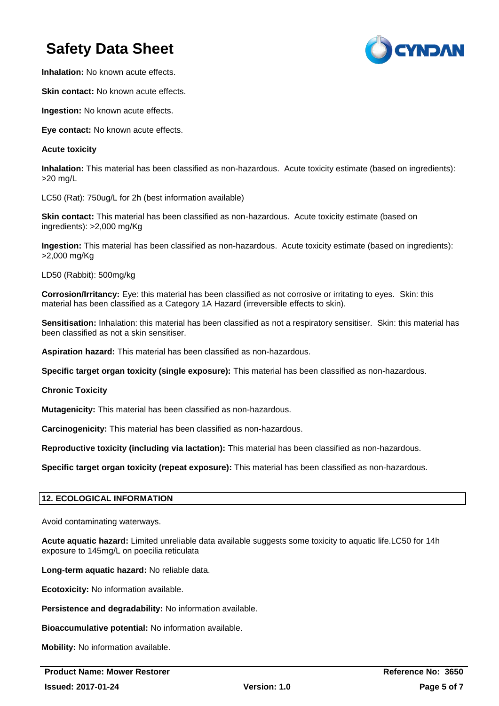

**Inhalation:** No known acute effects.

**Skin contact:** No known acute effects.

**Ingestion:** No known acute effects.

**Eye contact:** No known acute effects.

# **Acute toxicity**

**Inhalation:** This material has been classified as non-hazardous. Acute toxicity estimate (based on ingredients): >20 mg/L

LC50 (Rat): 750ug/L for 2h (best information available)

**Skin contact:** This material has been classified as non-hazardous. Acute toxicity estimate (based on ingredients): >2,000 mg/Kg

**Ingestion:** This material has been classified as non-hazardous. Acute toxicity estimate (based on ingredients): >2,000 mg/Kg

LD50 (Rabbit): 500mg/kg

**Corrosion/Irritancy:** Eye: this material has been classified as not corrosive or irritating to eyes. Skin: this material has been classified as a Category 1A Hazard (irreversible effects to skin).

**Sensitisation:** Inhalation: this material has been classified as not a respiratory sensitiser. Skin: this material has been classified as not a skin sensitiser.

**Aspiration hazard:** This material has been classified as non-hazardous.

**Specific target organ toxicity (single exposure):** This material has been classified as non-hazardous.

**Chronic Toxicity**

**Mutagenicity:** This material has been classified as non-hazardous.

**Carcinogenicity:** This material has been classified as non-hazardous.

**Reproductive toxicity (including via lactation):** This material has been classified as non-hazardous.

**Specific target organ toxicity (repeat exposure):** This material has been classified as non-hazardous.

### **12. ECOLOGICAL INFORMATION**

Avoid contaminating waterways.

**Acute aquatic hazard:** Limited unreliable data available suggests some toxicity to aquatic life.LC50 for 14h exposure to 145mg/L on poecilia reticulata

**Long-term aquatic hazard:** No reliable data.

**Ecotoxicity:** No information available.

**Persistence and degradability:** No information available.

**Bioaccumulative potential:** No information available.

**Mobility:** No information available.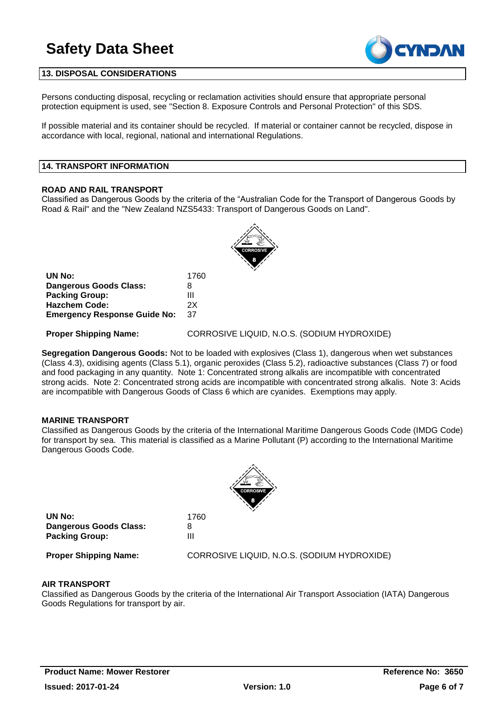

# **13. DISPOSAL CONSIDERATIONS**

Persons conducting disposal, recycling or reclamation activities should ensure that appropriate personal protection equipment is used, see "Section 8. Exposure Controls and Personal Protection" of this SDS.

If possible material and its container should be recycled. If material or container cannot be recycled, dispose in accordance with local, regional, national and international Regulations.

#### **14. TRANSPORT INFORMATION**

### **ROAD AND RAIL TRANSPORT**

Classified as Dangerous Goods by the criteria of the "Australian Code for the Transport of Dangerous Goods by Road & Rail" and the "New Zealand NZS5433: Transport of Dangerous Goods on Land".



| UN No:                              | 1760 |
|-------------------------------------|------|
| Dangerous Goods Class:              | 8    |
| <b>Packing Group:</b>               | Ш    |
| Hazchem Code:                       | 2X   |
| <b>Emergency Response Guide No:</b> | 37   |

**Proper Shipping Name:** CORROSIVE LIQUID, N.O.S. (SODIUM HYDROXIDE)

**Segregation Dangerous Goods:** Not to be loaded with explosives (Class 1), dangerous when wet substances (Class 4.3), oxidising agents (Class 5.1), organic peroxides (Class 5.2), radioactive substances (Class 7) or food and food packaging in any quantity. Note 1: Concentrated strong alkalis are incompatible with concentrated strong acids. Note 2: Concentrated strong acids are incompatible with concentrated strong alkalis. Note 3: Acids are incompatible with Dangerous Goods of Class 6 which are cyanides. Exemptions may apply.

### **MARINE TRANSPORT**

Classified as Dangerous Goods by the criteria of the International Maritime Dangerous Goods Code (IMDG Code) for transport by sea. This material is classified as a Marine Pollutant (P) according to the International Maritime Dangerous Goods Code.



**UN No:** 1760 **Dangerous Goods Class:** 8 **Packing Group:** III

**Proper Shipping Name:** CORROSIVE LIQUID, N.O.S. (SODIUM HYDROXIDE)

### **AIR TRANSPORT**

Classified as Dangerous Goods by the criteria of the International Air Transport Association (IATA) Dangerous Goods Regulations for transport by air.